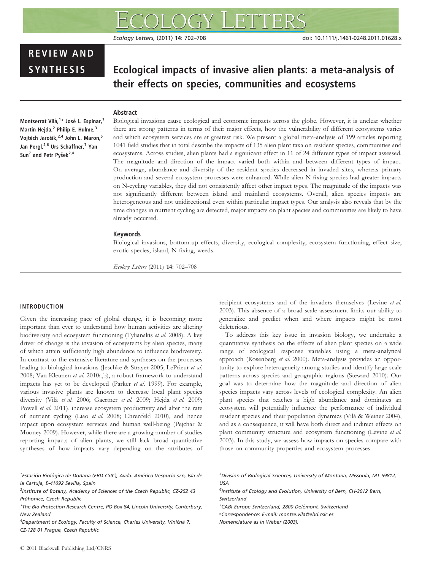# REVIEW AND

# SYNTHESIS Ecological impacts of invasive alien plants: a meta-analysis of their effects on species, communities and ecosystems

# Abstract

Montserrat Vilà,<sup>1</sup>\* José L. Espinar,<sup>1</sup> Martin Hejda,<sup>2</sup> Philip E. Hulme,<sup>3</sup> Vojtěch Jarošík,<sup>2,4</sup> John L. Maron,<sup>5</sup> Jan Pergl,<sup>2,6</sup> Urs Schaffner,<sup>7</sup> Yan Sun<sup>7</sup> and Petr Pyšek<sup>2,4</sup>

Biological invasions cause ecological and economic impacts across the globe. However, it is unclear whether there are strong patterns in terms of their major effects, how the vulnerability of different ecosystems varies and which ecosystem services are at greatest risk. We present a global meta-analysis of 199 articles reporting 1041 field studies that in total describe the impacts of 135 alien plant taxa on resident species, communities and ecosystems. Across studies, alien plants had a significant effect in 11 of 24 different types of impact assessed. The magnitude and direction of the impact varied both within and between different types of impact. On average, abundance and diversity of the resident species decreased in invaded sites, whereas primary production and several ecosystem processes were enhanced. While alien N-fixing species had greater impacts on N-cycling variables, they did not consistently affect other impact types. The magnitude of the impacts was not significantly different between island and mainland ecosystems. Overall, alien species impacts are heterogeneous and not unidirectional even within particular impact types. Our analysis also reveals that by the time changes in nutrient cycling are detected, major impacts on plant species and communities are likely to have already occurred.

### Keywords

Biological invasions, bottom-up effects, diversity, ecological complexity, ecosystem functioning, effect size, exotic species, island, N-fixing, weeds.

Ecology Letters (2011) 14: 702–708

## INTRODUCTION

Given the increasing pace of global change, it is becoming more important than ever to understand how human activities are altering biodiversity and ecosystem functioning (Tylianakis et al. 2008). A key driver of change is the invasion of ecosystems by alien species, many of which attain sufficiently high abundance to influence biodiversity. In contrast to the extensive literature and syntheses on the processes leading to biological invasions (Jeschke & Strayer 2005; LePrieur et al. 2008; Van Kleunen et al. 2010a,b), a robust framework to understand impacts has yet to be developed (Parker et al. 1999). For example, various invasive plants are known to decrease local plant species diversity (Vilà et al. 2006; Gaertner et al. 2009; Hejda et al. 2009; Powell et al. 2011), increase ecosystem productivity and alter the rate of nutrient cycling (Liao et al. 2008; Ehrenfeld 2010), and hence impact upon ecosystem services and human well-being (Pejchar & Mooney 2009). However, while there are a growing number of studies reporting impacts of alien plants, we still lack broad quantitative syntheses of how impacts vary depending on the attributes of recipient ecosystems and of the invaders themselves (Levine et al. 2003). This absence of a broad-scale assessment limits our ability to generalize and predict when and where impacts might be most deleterious.

To address this key issue in invasion biology, we undertake a quantitative synthesis on the effects of alien plant species on a wide range of ecological response variables using a meta-analytical approach (Rosenberg et al. 2000). Meta-analysis provides an opportunity to explore heterogeneity among studies and identify large-scale patterns across species and geographic regions (Steward 2010). Our goal was to determine how the magnitude and direction of alien species impacts vary across levels of ecological complexity. An alien plant species that reaches a high abundance and dominates an ecosystem will potentially influence the performance of individual resident species and their population dynamics (Vilà & Weiner 2004), and as a consequence, it will have both direct and indirect effects on plant community structure and ecosystem functioning (Levine et al. 2003). In this study, we assess how impacts on species compare with those on community properties and ecosystem processes.

5 Division of Biological Sciences, University of Montana, Missoula, MT 59812, USA

- <sup>6</sup>Institute of Ecology and Evolution, University of Bern, CH-3012 Bern, Switzerland
- <sup>7</sup>CABI Europe-Switzerland, 2800 Delémont, Switzerland
- \*Correspondence: E-mail: montse.vila@ebd.csic.es
- Nomenclature as in Weber (2003).

<sup>&</sup>lt;sup>1</sup> Estación Biológica de Doñana (EBD-CSIC), Avda. Américo Vespucio s/n, Isla de la Cartuja, E-41092 Sevilla, Spain

<sup>&</sup>lt;sup>2</sup>Institute of Botany, Academy of Sciences of the Czech Republic, CZ-252 43 Průhonice, Czech Republic

<sup>&</sup>lt;sup>3</sup>The Bio-Protection Research Centre, PO Box 84, Lincoln University, Canterbury, New Zealand

 $^4$ Department of Ecology, Faculty of Science, Charles University, Viničná 7, CZ-128 01 Prague, Czech Republic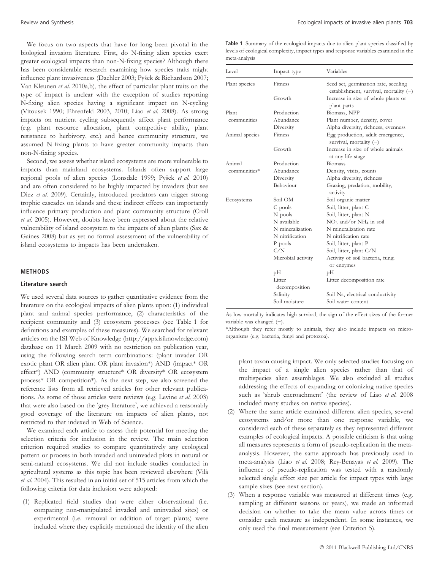We focus on two aspects that have for long been pivotal in the biological invasion literature. First, do N-fixing alien species exert greater ecological impacts than non-N-fixing species? Although there has been considerable research examining how species traits might influence plant invasiveness (Daehler 2003; Pyšek & Richardson 2007; Van Kleunen et al. 2010a,b), the effect of particular plant traits on the type of impact is unclear with the exception of studies reporting N-fixing alien species having a significant impact on N-cycling (Vitousek 1990; Ehrenfeld 2003, 2010; Liao et al. 2008). As strong impacts on nutrient cycling subsequently affect plant performance (e.g. plant resource allocation, plant competitive ability, plant resistance to herbivory, etc.) and hence community structure, we assumed N-fixing plants to have greater community impacts than non-N-fixing species.

Second, we assess whether island ecosystems are more vulnerable to impacts than mainland ecosystems. Islands often support large regional pools of alien species (Lonsdale 1999; Pyšek et al. 2010) and are often considered to be highly impacted by invaders (but see Diez et al. 2009). Certainly, introduced predators can trigger strong trophic cascades on islands and these indirect effects can importantly influence primary production and plant community structure (Croll et al. 2005). However, doubts have been expressed about the relative vulnerability of island ecosystem to the impacts of alien plants (Sax & Gaines 2008) but as yet no formal assessment of the vulnerability of island ecosystems to impacts has been undertaken.

#### METHODS

#### Literature search

We used several data sources to gather quantitative evidence from the literature on the ecological impacts of alien plants upon: (1) individual plant and animal species performance, (2) characteristics of the recipient community and (3) ecosystem processes (see Table 1 for definitions and examples of these measures). We searched for relevant articles on the ISI Web of Knowledge (http://apps.isiknowledge.com) database on 11 March 2009 with no restriction on publication year, using the following search term combinations: (plant invader OR exotic plant OR alien plant OR plant invasion\*) AND (impact\* OR effect\*) AND (community structure\* OR diversity\* OR ecosystem process\* OR competition\*). As the next step, we also screened the reference lists from all retrieved articles for other relevant publications. As some of those articles were reviews (e.g. Levine et al. 2003) that were also based on the 'grey literature', we achieved a reasonably good coverage of the literature on impacts of alien plants, not restricted to that indexed in Web of Science.

We examined each article to assess their potential for meeting the selection criteria for inclusion in the review. The main selection criterion required studies to compare quantitatively any ecological pattern or process in both invaded and uninvaded plots in natural or semi-natural ecosystems. We did not include studies conducted in agricultural systems as this topic has been reviewed elsewhere (Vila` et al. 2004). This resulted in an initial set of 515 articles from which the following criteria for data inclusion were adopted:

(1) Replicated field studies that were either observational (i.e. comparing non-manipulated invaded and uninvaded sites) or experimental (i.e. removal or addition of target plants) were included where they explicitly mentioned the identity of the alien

Table 1 Summary of the ecological impacts due to alien plant species classified by levels of ecological complexity, impact types and response variables examined in the meta-analysis

| Level              | Impact type             | Variables                                                                        |  |  |  |  |
|--------------------|-------------------------|----------------------------------------------------------------------------------|--|--|--|--|
| Plant species      | Fitness                 | Seed set, germination rate, seedling<br>establishment, survival, mortality $(-)$ |  |  |  |  |
|                    | Growth                  | Increase in size of whole plants or<br>plant parts                               |  |  |  |  |
| Plant              | Production              | Biomass, NPP                                                                     |  |  |  |  |
| communities        | Abundance               | Plant number, density, cover                                                     |  |  |  |  |
|                    | Diversity               | Alpha diversity, richness, evenness                                              |  |  |  |  |
| Animal species     | Fitness                 | Egg production, adult emergence,<br>survival, mortality $(-)$                    |  |  |  |  |
|                    | Growth                  | Increase in size of whole animals<br>at any life stage                           |  |  |  |  |
| Animal             | Production              | <b>Biomass</b>                                                                   |  |  |  |  |
| $commu$ nities $*$ | Abundance               | Density, visits, counts                                                          |  |  |  |  |
|                    | Diversity               | Alpha diversity, richness                                                        |  |  |  |  |
|                    | Behaviour               | Grazing, predation, mobility,<br>activity                                        |  |  |  |  |
| Ecosystems         | Soil OM                 | Soil organic matter                                                              |  |  |  |  |
|                    | C pools                 | Soil, litter, plant C                                                            |  |  |  |  |
|                    | N pools                 | Soil, litter, plant N                                                            |  |  |  |  |
|                    | N available             | $NO3$ and/or $NH4$ in soil                                                       |  |  |  |  |
|                    | N mineralization        | N mineralization rate                                                            |  |  |  |  |
|                    | N nitrification         | N nitrification rate                                                             |  |  |  |  |
|                    | P pools                 | Soil, litter, plant P                                                            |  |  |  |  |
|                    | C/N                     | Soil, litter, plant C/N                                                          |  |  |  |  |
|                    | Microbial activity      | Activity of soil bacteria, fungi<br>or enzymes                                   |  |  |  |  |
|                    | рH                      | pН                                                                               |  |  |  |  |
|                    | Litter<br>decomposition | Litter decomposition rate                                                        |  |  |  |  |
|                    | Salinity                | Soil Na, electrical conductivity                                                 |  |  |  |  |
|                    | Soil moisture           | Soil water content                                                               |  |  |  |  |

As low mortality indicates high survival, the sign of the effect sizes of the former variable was changed  $(-)$ .

\*Although they refer mostly to animals, they also include impacts on microorganisms (e.g. bacteria, fungi and protozoa).

plant taxon causing impact. We only selected studies focusing on the impact of a single alien species rather than that of multispecies alien assemblages. We also excluded all studies addressing the effects of expanding or colonizing native species such as 'shrub encroachment' (the review of Liao et al. 2008 included many studies on native species).

- (2) Where the same article examined different alien species, several ecosystems and/or more than one response variable, we considered each of these separately as they represented different examples of ecological impacts. A possible criticism is that using all measures represents a form of pseudo-replication in the metaanalysis. However, the same approach has previously used in meta-analysis (Liao et al. 2008; Rey-Benayas et al. 2009). The influence of pseudo-replication was tested with a randomly selected single effect size per article for impact types with large sample sizes (see next section).
- (3) When a response variable was measured at different times (e.g. sampling at different seasons or years), we made an informed decision on whether to take the mean value across times or consider each measure as independent. In some instances, we only used the final measurement (see Criterion 5).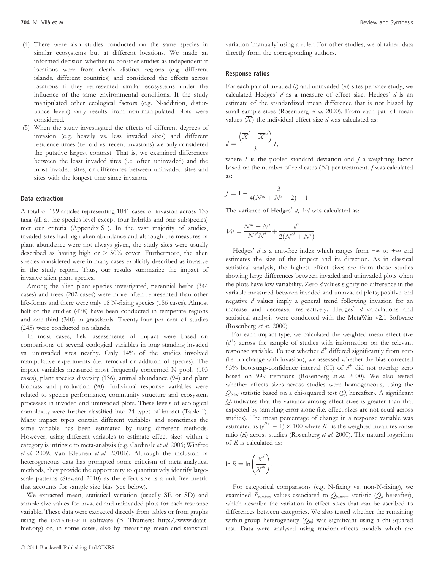- (4) There were also studies conducted on the same species in similar ecosystems but at different locations. We made an informed decision whether to consider studies as independent if locations were from clearly distinct regions (e.g. different islands, different countries) and considered the effects across locations if they represented similar ecosystems under the influence of the same environmental conditions. If the study manipulated other ecological factors (e.g. N-addition, disturbance levels) only results from non-manipulated plots were considered.
- (5) When the study investigated the effects of different degrees of invasion (e.g. heavily vs. less invaded sites) and different residence times (i.e. old vs. recent invasions) we only considered the putative largest contrast. That is, we examined differences between the least invaded sites (i.e. often uninvaded) and the most invaded sites, or differences between uninvaded sites and sites with the longest time since invasion.

#### Data extraction

A total of 199 articles representing 1041 cases of invasion across 135 taxa (all at the species level except four hybrids and one subspecies) met our criteria (Appendix S1). In the vast majority of studies, invaded sites had high alien abundance and although the measures of plant abundance were not always given, the study sites were usually described as having high or > 50% cover. Furthermore, the alien species considered were in many cases explicitly described as invasive in the study region. Thus, our results summarize the impact of invasive alien plant species.

Among the alien plant species investigated, perennial herbs (344 cases) and trees (202 cases) were more often represented than other life-forms and there were only 18 N-fixing species (156 cases). Almost half of the studies (478) have been conducted in temperate regions and one-third (340) in grasslands. Twenty-four per cent of studies (245) were conducted on islands.

In most cases, field assessments of impact were based on comparisons of several ecological variables in long-standing invaded vs. uninvaded sites nearby. Only 14% of the studies involved manipulative experiments (i.e. removal or addition of species). The impact variables measured most frequently concerned N pools (103 cases), plant species diversity (136), animal abundance (94) and plant biomass and production (90). Individual response variables were related to species performance, community structure and ecosystem processes in invaded and uninvaded plots. These levels of ecological complexity were further classified into 24 types of impact (Table 1). Many impact types contain different variables and sometimes the same variable has been estimated by using different methods. However, using different variables to estimate effect sizes within a category is intrinsic to meta-analysis (e.g. Cardinale et al. 2006; Winfree et al. 2009; Van Kleunen et al. 2010b). Although the inclusion of heterogeneous data has prompted some criticism of meta-analytical methods, they provide the opportunity to quantitatively identify largescale patterns (Steward 2010) as the effect size is a unit-free metric that accounts for sample size bias (see below).

We extracted mean, statistical variation (usually SE or SD) and sample size values for invaded and uninvaded plots for each response variable. These data were extracted directly from tables or from graphs using the DATATHIEF II software (B. Thumers; http://www.datathief.org) or, in some cases, also by measuring mean and statistical variation 'manually' using a ruler. For other studies, we obtained data directly from the corresponding authors.

#### Response ratios

For each pair of invaded  $(i)$  and uninvaded  $(m)$  sites per case study, we calculated Hedges'  $d$  as a measure of effect size. Hedges'  $d$  is an estimate of the standardized mean difference that is not biased by small sample sizes (Rosenberg et al. 2000). From each pair of mean values  $(X)$  the individual effect size d was calculated as:

$$
d = \frac{\left(\overline{X}^{i} - \overline{X}^{ni}\right)}{S}J,
$$

where  $S$  is the pooled standard deviation and  $\overline{I}$  a weighting factor based on the number of replicates  $(N)$  per treatment. *J* was calculated as:

$$
J = 1 - \frac{3}{4(N^{ni} + N^i - 2) - 1}.
$$

The variance of Hedges'  $d$ ,  $Vd$  was calculated as:

$$
Vd = \frac{N^{ni} + N^{i}}{N^{ni}N^{i}} + \frac{d^{2}}{2(N^{ni} + N^{i})}.
$$

Hedges' d is a unit-free index which ranges from  $-\infty$  to  $+\infty$  and estimates the size of the impact and its direction. As in classical statistical analysis, the highest effect sizes are from those studies showing large differences between invaded and uninvaded plots when the plots have low variability. Zero d values signify no difference in the variable measured between invaded and uninvaded plots; positive and negative d values imply a general trend following invasion for an increase and decrease, respectively. Hedges'  $d$  calculations and statistical analysis were conducted with the MetaWin v2.1 Software (Rosenberg et al. 2000).

For each impact type, we calculated the weighted mean effect size (d <sup>+</sup>) across the sample of studies with information on the relevant response variable. To test whether  $d^+$  differed significantly from zero (i.e. no change with invasion), we assessed whether the bias-corrected 95% bootstrap-confidence interval (CI) of  $d^+$  did not overlap zero based on 999 iterations (Rosenberg et al. 2000). We also tested whether effects sizes across studies were homogeneous, using the  $Q_{total}$  statistic based on a chi-squared test ( $Q_t$  hereafter). A significant  $Q_t$  indicates that the variance among effect sizes is greater than that expected by sampling error alone (i.e. effect sizes are not equal across studies). The mean percentage of change in a response variable was estimated as  $(e^{R+} - 1) \times 100$  where  $R^+$  is the weighted mean response ratio ( $R$ ) across studies (Rosenberg et al. 2000). The natural logarithm of R is calculated as:

$$
\ln R = \ln \left( \frac{\overline{X}^i}{\overline{X}^{mi}} \right).
$$

For categorical comparisons (e.g. N-fixing vs. non-N-fixing), we examined  $P_{random}$  values associated to  $Q_{between}$  statistic ( $Q_b$  hereafter), which describe the variation in effect sizes that can be ascribed to differences between categories. We also tested whether the remaining within-group heterogeneity  $(Q_w)$  was significant using a chi-squared test. Data were analysed using random-effects models which are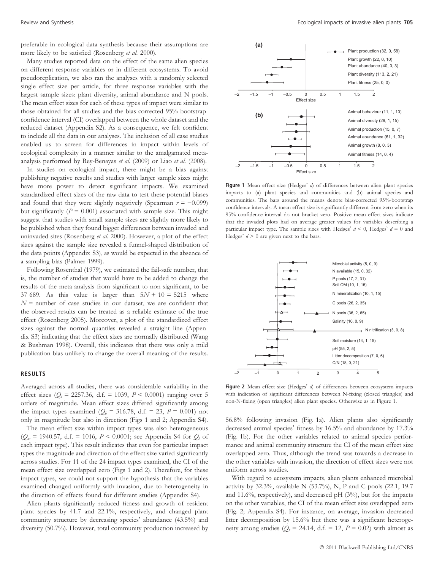preferable in ecological data synthesis because their assumptions are more likely to be satisfied (Rosenberg et al. 2000).

Many studies reported data on the effect of the same alien species on different response variables or in different ecosystems. To avoid pseudoreplication, we also ran the analyses with a randomly selected single effect size per article, for three response variables with the largest sample sizes: plant diversity, animal abundance and N pools. The mean effect sizes for each of these types of impact were similar to those obtained for all studies and the bias-corrected 95% bootstrapconfidence interval (CI) overlapped between the whole dataset and the reduced dataset (Appendix S2). As a consequence, we felt confident to include all the data in our analyses. The inclusion of all case studies enabled us to screen for differences in impact within levels of ecological complexity in a manner similar to the amalgamated metaanalysis performed by Rey-Benayas et al. (2009) or Liao et al. (2008).

In studies on ecological impact, there might be a bias against publishing negative results and studies with larger sample sizes might have more power to detect significant impacts. We examined standardized effect sizes of the raw data to test these potential biases and found that they were slightly negatively (Spearman  $r = -0.099$ ) but significantly ( $P = 0.001$ ) associated with sample size. This might suggest that studies with small sample sizes are slightly more likely to be published when they found bigger differences between invaded and uninvaded sites (Rosenberg et al. 2000). However, a plot of the effect sizes against the sample size revealed a funnel-shaped distribution of the data points (Appendix S3), as would be expected in the absence of a sampling bias (Palmer 1999).

Following Rosenthal (1979), we estimated the fail-safe number, that is, the number of studies that would have to be added to change the results of the meta-analysis from significant to non-significant, to be 37 689. As this value is larger than  $5N + 10 = 5215$  where  $N$  = number of case studies in our dataset, we are confident that the observed results can be treated as a reliable estimate of the true effect (Rosenberg 2005). Moreover, a plot of the standardized effect sizes against the normal quantiles revealed a straight line (Appendix S3) indicating that the effect sizes are normally distributed (Wang & Bushman 1998). Overall, this indicates that there was only a mild publication bias unlikely to change the overall meaning of the results.

#### RESULTS

Averaged across all studies, there was considerable variability in the effect sizes ( $Q_t = 2257.36$ , d.f. = 1039,  $P < 0.0001$ ) ranging over 5 orders of magnitude. Mean effect sizes differed significantly among the impact types examined  $(Q_b = 316.78, d.f. = 23, P = 0.001)$  not only in magnitude but also in direction (Figs 1 and 2; Appendix S4).

The mean effect size within impact types was also heterogeneous  $(Q_w = 1940.57, d.f. = 1016, P < 0.0001$ ; see Appendix S4 for  $Q_t$  of each impact type). This result indicates that even for particular impact types the magnitude and direction of the effect size varied significantly across studies. For 11 of the 24 impact types examined, the CI of the mean effect size overlapped zero (Figs 1 and 2). Therefore, for these impact types, we could not support the hypothesis that the variables examined changed uniformly with invasion, due to heterogeneity in the direction of effects found for different studies (Appendix S4).

Alien plants significantly reduced fitness and growth of resident plant species by 41.7 and 22.1%, respectively, and changed plant community structure by decreasing species' abundance (43.5%) and diversity (50.7%). However, total community production increased by



Figure 1 Mean effect size (Hedges'  $d$ ) of differences between alien plant species impacts to (a) plant species and communities and (b) animal species and communities. The bars around the means denote bias-corrected 95%-bootstrap confidence intervals. A mean effect size is significantly different from zero when its 95% confidence interval do not bracket zero. Positive mean effect sizes indicate that the invaded plots had on average greater values for variables describing a particular impact type. The sample sizes with Hedges'  $d \le 0$ , Hedges'  $d = 0$  and Hedges'  $d > 0$  are given next to the bars.



Figure 2 Mean effect size (Hedges'  $d$ ) of differences between ecosystem impacts with indication of significant differences between N-fixing (closed triangles) and non-N-fixing (open triangles) alien plant species. Otherwise as in Figure 1.

56.8% following invasion (Fig. 1a). Alien plants also significantly decreased animal species' fitness by 16.5% and abundance by 17.3% (Fig. 1b). For the other variables related to animal species performance and animal community structure the CI of the mean effect size overlapped zero. Thus, although the trend was towards a decrease in the other variables with invasion, the direction of effect sizes were not uniform across studies.

With regard to ecosystem impacts, alien plants enhanced microbial activity by 32.3%, available N (53.7%), N, P and C pools (22.1, 19.7 and 11.6%, respectively), and decreased pH (3%), but for the impacts on the other variables, the CI of the mean effect size overlapped zero (Fig. 2; Appendix S4). For instance, on average, invasion decreased litter decomposition by 15.6% but there was a significant heterogeneity among studies ( $Q_t = 24.14$ , d.f. = 12,  $P = 0.02$ ) with almost as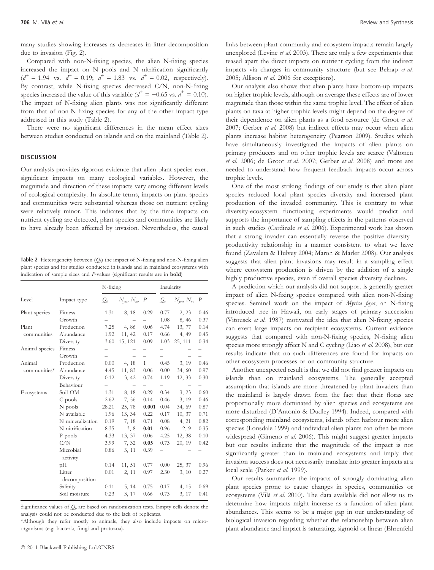many studies showing increases as decreases in litter decomposition due to invasion (Fig. 2).

Compared with non-N-fixing species, the alien N-fixing species increased the impact on N pools and N nitrification significantly  $(d^+ = 1.94 \text{ vs. } d^+ = 0.19; d^+ = 1.83 \text{ vs. } d^+ = 0.02, \text{ respectively}).$ By contrast, while N-fixing species decreased C⁄N, non-N-fixing species increased the value of this variable ( $d^+ = -0.65$  vs.  $d^+ = 0.10$ ). The impact of N-fixing alien plants was not significantly different from that of non-N-fixing species for any of the other impact type addressed in this study (Table 2).

There were no significant differences in the mean effect sizes between studies conducted on islands and on the mainland (Table 2).

#### **DISCUSSION**

Our analysis provides rigorous evidence that alien plant species exert significant impacts on many ecological variables. However, the magnitude and direction of these impacts vary among different levels of ecological complexity. In absolute terms, impacts on plant species and communities were substantial whereas those on nutrient cycling were relatively minor. This indicates that by the time impacts on nutrient cycling are detected, plant species and communities are likely to have already been affected by invasion. Nevertheless, the causal

**Table 2** Heterogeneity between  $(Q_b)$  the impact of N-fixing and non-N-fixing alien plant species and for studies conducted in islands and in mainland ecosystems with indication of sample sizes and P-values (significant results are in bold)

|                        |                       | $N$ -fixing              |                                      |                          | Insularity               |                                  |                          |
|------------------------|-----------------------|--------------------------|--------------------------------------|--------------------------|--------------------------|----------------------------------|--------------------------|
| Level                  | Impact type           | $\mathcal{Q}_b$          | $N_{\text{ves}}$ , $N_{\text{no}}$ P |                          | $\mathcal{Q}_b$          | $N_{\text{ves}}$ $N_{\text{no}}$ | $\mathbf{P}$             |
| Plant species          | Fitness               | 1.31                     | 8, 18                                | 0.29                     | 0.77                     | 2, 23                            | 0.46                     |
|                        | Growth                |                          |                                      |                          | 1.08                     | 8, 46                            | 0.37                     |
| Plant<br>communities   | Production            |                          | 7.25 4,86                            | 0.06                     | 4.74                     | 13, 77                           | 0.14                     |
|                        | Abundance             | 1.92                     | 11, 42                               | 0.17                     | 0.66                     | 4, 49                            | 0.45                     |
|                        | Diversity             | 3.60                     | 15, 121                              | 0.09                     | 1.03                     | 25, 111                          | 0.34                     |
| Animal species         | Fitness               |                          |                                      |                          |                          |                                  |                          |
|                        | Growth                | $\overline{\phantom{0}}$ |                                      | $\overline{\phantom{0}}$ | $\overline{\phantom{0}}$ |                                  | $\overline{\phantom{0}}$ |
| Animal<br>communities* | Production            | 0.00                     | 4, 18                                | 1                        | 0.45                     | 3, 19                            | 0.46                     |
|                        | Abundance             | 4.45                     | 11,83                                | 0.06                     | $0.00\,$                 | 34, 60                           | 0.97                     |
|                        | Diversity             | 0.12                     | 3, 42                                | 0.74                     | 1.19                     | 12, 33                           | 0.30                     |
|                        | Behaviour             | $\overline{\phantom{0}}$ | -                                    | $\overline{\phantom{0}}$ | $-$                      | -                                | -                        |
| Ecosystems             | Soil OM               | 1.31                     | 8, 18                                | 0.29                     | 0.34                     | 3, 23                            | 0.60                     |
|                        | C pools               | 2.62                     | 7,56                                 | 0.14                     | 0.46                     | 3, 19                            | 0.46                     |
|                        | N pools               | 28.21                    | 25, 78                               | 0.001                    | 0.04                     | 34, 69                           | 0.87                     |
|                        | N available           | 1.96                     | 13, 34                               | 0.22                     | 0.17                     | 10, 37                           | 0.71                     |
|                        | N mineralization      | 0.19                     | 7, 18                                | 0.71                     | 0.08                     | 4, 21                            | 0.82                     |
|                        | N nitrification       | 8.35                     | 3, 8                                 | 0.01                     | 0.96                     | 2, 9                             | 0.35                     |
|                        | P pools               | 4.33                     | 13, 37                               | 0.06                     | 4.25                     | 12, 38                           | 0.10                     |
|                        | C/N                   | 3.99                     | 7, 32                                | 0.05                     | 0.73                     | 20, 19                           | 0.42                     |
|                        | Microbial<br>activity | 0.86                     | 3, 11                                | 0.39                     |                          |                                  |                          |
|                        | pН                    | 0.14                     | 11, 51                               | 0.77                     | $0.00\,$                 | 25, 37                           | 0.96                     |
|                        | Litter                | 0.01                     | 2, 11                                | 0.97                     | 2.30                     | 3, 10                            | 0.27                     |
|                        | decomposition         |                          |                                      |                          |                          |                                  |                          |
|                        | Salinity              |                          | $0.11$ 5, 14                         | 0.75                     | 0.17                     | 4, 15                            | 0.69                     |
|                        | Soil moisture         | 0.23                     | 3, 17                                | 0.66                     | 0.73                     | 3, 17                            | 0.41                     |

Significance values of  $Q_b$  are based on randomization tests. Empty cells denote the analysis could not be conducted due to the lack of replicates.

\*Although they refer mostly to animals, they also include impacts on microorganisms (e.g. bacteria, fungi and protozoa).

links between plant community and ecosystem impacts remain largely unexplored (Levine *et al.* 2003). There are only a few experiments that teased apart the direct impacts on nutrient cycling from the indirect impacts via changes in community structure (but see Belnap et al. 2005; Allison et al. 2006 for exceptions).

Our analysis also shows that alien plants have bottom-up impacts on higher trophic levels, although on average these effects are of lower magnitude than those within the same trophic level. The effect of alien plants on taxa at higher trophic levels might depend on the degree of their dependence on alien plants as a food resource (de Groot et al. 2007; Gerber et al. 2008) but indirect effects may occur when alien plants increase habitat heterogeneity (Pearson 2009). Studies which have simultaneously investigated the impacts of alien plants on primary producers and on other trophic levels are scarce (Valtonen et al. 2006; de Groot et al. 2007; Gerber et al. 2008) and more are needed to understand how frequent feedback impacts occur across trophic levels.

One of the most striking findings of our study is that alien plant species reduced local plant species diversity and increased plant production of the invaded community. This is contrary to what diversity-ecosystem functioning experiments would predict and supports the importance of sampling effects in the patterns observed in such studies (Cardinale et al. 2006). Experimental work has shown that a strong invader can essentially reverse the positive diversity– productivity relationship in a manner consistent to what we have found (Zavaleta & Hulvey 2004; Maron & Marler 2008). Our analysis suggests that alien plant invasions may result in a sampling effect where ecosystem production is driven by the addition of a single highly productive species, even if overall species diversity declines.

A prediction which our analysis did not support is generally greater impact of alien N-fixing species compared with alien non-N-fixing species. Seminal work on the impact of Myrica faya, an N-fixing introduced tree in Hawaii, on early stages of primary succession (Vitousek et al. 1987) motivated the idea that alien N-fixing species can exert large impacts on recipient ecosystems. Current evidence suggests that compared with non-N-fixing species, N-fixing alien species more strongly affect N and C cycling (Liao et al. 2008), but our results indicate that no such differences are found for impacts on other ecosystem processes or on community structure.

Another unexpected result is that we did not find greater impacts on islands than on mainland ecosystems. The generally accepted assumption that islands are more threatened by plant invaders than the mainland is largely drawn form the fact that their floras are proportionally more dominated by alien species and ecosystems are more disturbed (D'Antonio & Dudley 1994). Indeed, compared with corresponding mainland ecosystems, islands often harbour more alien species (Lonsdale 1999) and individual alien plants can often be more widespread (Gimeno et al. 2006). This might suggest greater impacts but our results indicate that the magnitude of the impact is not significantly greater than in mainland ecosystems and imply that invasion success does not necessarily translate into greater impacts at a local scale (Parker et al. 1999).

Our results summarize the impacts of strongly dominating alien plant species prone to cause changes in species, communities or ecosystems (Vilà et al. 2010). The data available did not allow us to determine how impacts might increase as a function of alien plant abundances. This seems to be a major gap in our understanding of biological invasion regarding whether the relationship between alien plant abundance and impact is saturating, sigmoid or linear (Ehrenfeld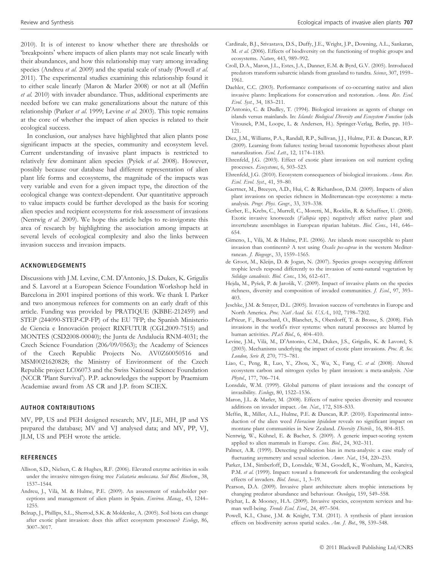2010). It is of interest to know whether there are thresholds or 'breakpoints' where impacts of alien plants may not scale linearly with their abundances, and how this relationship may vary among invading species (Andreu et al. 2009) and the spatial scale of study (Powell et al. 2011). The experimental studies examining this relationship found it to either scale linearly (Maron & Marler 2008) or not at all (Meffin et al. 2010) with invader abundance. Thus, additional experiments are needed before we can make generalizations about the nature of this relationship (Parker et al. 1999; Levine et al. 2003). This topic remains at the core of whether the impact of alien species is related to their ecological success.

In conclusion, our analyses have highlighted that alien plants pose significant impacts at the species, community and ecosystem level. Current understanding of invasive plant impacts is restricted to relatively few dominant alien species (Pyšek et al. 2008). However, possibly because our database had different representation of alien plant life forms and ecosystems, the magnitude of the impacts was very variable and even for a given impact type, the direction of the ecological change was context-dependent. Our quantitative approach to value impacts could be further developed as the basis for scoring alien species and recipient ecosystems for risk assessment of invasions (Nentwig et al. 2009). We hope this article helps to re-invigorate this area of research by highlighting the association among impacts at several levels of ecological complexity and also the links between invasion success and invasion impacts.

#### ACKNOWLEDGEMENTS

Discussions with J.M. Levine, C.M. D'Antonio, J.S. Dukes, K. Grigulis and S. Lavorel at a European Science Foundation Workshop held in Barcelona in 2001 inspired portions of this work. We thank I. Parker and two anonymous referees for comments on an early draft of this article. Funding was provided by PRATIQUE (KBBE-212459) and STEP (244090-STEP-CP-FP) of the EU 7FP; the Spanish Ministerio de Ciencia e Innovación project RIXFUTUR (CGL2009-7515) and MONTES (CSD2008-00040); the Junta de Andalucía RNM-4031; the Czech Science Foundation (206/09/0563); the Academy of Sciences of the Czech Republic Projects No. AV0Z60050516 and MSM0021620828; the Ministry of Environment of the Czech Republic project LC06073 and the Swiss National Science Foundation (NCCR 'Plant Survival'). P.P. acknowledges the support by Praemium Academiae award from AS CR and J.P. from SCIEX.

#### AUTHOR CONTRIBUTIONS

MV, PP, US and PEH designed research; MV, JLE, MH, JP and YS prepared the database; MV and VJ analysed data; and MV, PP, VJ, JLM, US and PEH wrote the article.

#### **REFERENCES**

- Allison, S.D., Nielsen, C. & Hughes, R.F. (2006). Elevated enzyme activities in soils under the invasive nitrogen-fixing tree Falcataria moluccana. Soil Biol. Biochem., 38, 1537–1544.
- Andreu, J., Vilà, M. & Hulme, P.E. (2009). An assessment of stakeholder perceptions and management of alien plants in Spain. Environ. Manag., 43, 1244– 1255.
- Belnap, J., Phillips, S.L., Sherrod, S.K. & Moldenke, A. (2005). Soil biota can change after exotic plant invasion: does this affect ecosystem processes? Ecology, 86, 3007–3017.
- Cardinale, B.J., Srivastava, D.S., Duffy, J.E., Wright, J.P., Downing, A.L., Sankaran, M. et al. (2006). Effects of biodiversity on the functioning of trophic groups and ecosystems. Nature, 443, 989–992.
- Croll, D.A., Maron, J.L., Estes, J.A., Danner, E.M. & Byrd, G.V. (2005). Introduced predators transform subarctic islands from grassland to tundra. Science, 307, 1959-1961.
- Daehler, C.C. (2003). Performance comparisons of co-occurring native and alien invasive plants: Implications for conservation and restoration. Annu. Rev. Ecol. Evol. Syst., 34, 183–211.
- D'Antonio, C. & Dudley, T. (1994). Biological invasions as agents of change on islands versus mainlands. In: Islands: Biological Diversity and Ecosystem Function (eds Vitousek, P.M., Loope, L. & Andersen, H.). Springer-Verlag, Berlin, pp. 103– 121.
- Diez, J.M., Williams, P.A., Randall, R.P., Sullivan, J.J., Hulme, P.E. & Duncan, R.P. (2009). Learning from failures: testing broad taxonomic hypotheses about plant naturalization. Ecol. Lett., 12, 1174-1183.
- Ehrenfeld, J.G. (2003). Effect of exotic plant invasions on soil nutrient cycling processes. Ecosystems, 6, 503–523.
- Ehrenfeld, J.G. (2010). Ecosystem consequences of biological invasions. Annu. Rev. Ecol. Evol. Syst., 41, 59–80.
- Gaertner, M., Breeyen, A.D., Hui, C. & Richardson, D.M. (2009). Impacts of alien plant invasions on species richness in Mediterranean-type ecosystems: a metaanalysis. Progr. Phys. Geogr., 33, 319–338.
- Gerber, E., Krebs, C., Murrell, C., Moretti, M., Rocklin, R. & Schaffner, U. (2008). Exotic invasive knotweeds (Fallopia spp.) negatively affect native plant and invertebrate assemblages in European riparian habitats. Biol. Cons., 141, 646– 654.
- Gimeno, I., Vila`, M. & Hulme, P.E. (2006). Are islands more susceptible to plant invasion than continents? A test using Oxalis pes-caprae in the western Mediterranean. J. Biogeogr., 33, 1559–1565.
- de Groot, M., Kleijn, D. & Jogan, N. (2007). Species groups occupying different trophic levels respond differently to the invasion of semi-natural vegetation by Solidago canadensis. Biol. Cons., 136, 612-617.
- Hejda, M., Pyšek, P. & Jarošík, V. (2009). Impact of invasive plants on the species richness, diversity and composition of invaded communities. *J. Ecol.*, 97, 393– 403.
- Jeschke, J.M. & Strayer, D.L. (2005). Invasion success of vertebrates in Europe and North America. Proc. Natl Acad. Sci. U.S.A., 102, 7198-7202.
- LePrieur, F., Beauchard, O., Blanchet, S., Oberdorff, T. & Brosse, S. (2008). Fish invasions in the world's river systems: when natural processes are blurred by human activities. PLoS Biol., 6, 404-410.
- Levine, J.M., Vilà, M., D'Antonio, C.M., Dukes, J.S., Grigulis, K. & Lavorel, S. (2003). Mechanisms underlying the impact of exotic plant invasions. Proc. R. Soc. London, Serie B, 270, 775–781.
- Liao, C., Peng, R., Luo, Y., Zhou, X., Wu, X., Fang, C. et al. (2008). Altered ecosystem carbon and nitrogen cycles by plant invasion: a meta-analysis. New Phytol., 177, 706–714.
- Lonsdale, W.M. (1999). Global patterns of plant invasions and the concept of invasibility. Ecology, 80, 1522–1536.
- Maron, J.L. & Marler, M. (2008). Effects of native species diversity and resource additions on invader impact. Am. Nat., 172, S18–S33.
- Meffin, R., Miller, A.L., Hulme, P.E. & Duncan, R.P. (2010). Experimental introduction of the alien weed Hieracium lepidulum reveals no significant impact on montane plant communities in New Zealand. Diversity Distrib., 16, 804–815.
- Nentwig, W., Kühnel, E. & Bacher, S. (2009). A generic impact-scoring system applied to alien mammals in Europe. Cons. Biol., 24, 302–311.
- Palmer, A.R. (1999). Detecting publication bias in meta-analysis: a case study of fluctuating asymmetry and sexual selection. Amer. Nat., 154, 220-233.
- Parker, I.M., Simberloff, D., Lonsdale, W.M., Goodell, K., Wonham, M., Kareiva, P.M. et al. (1999). Impact: toward a framework for understanding the ecological effects of invaders. Biol. Invas., 1, 3–19.
- Pearson, D.A. (2009). Invasive plant architecture alters trophic interactions by changing predator abundance and behaviour. Oecologia, 159, 549-558.
- Pejchar, L. & Mooney, H.A. (2009). Invasive species, ecosystem services and human well-being. Trends Ecol. Evol., 24, 497-504.
- Powell, K.I., Chase, J.M. & Knight, T.M. (2011). A synthesis of plant invasion effects on biodiversity across spatial scales. Am. J. Bot., 98, 539-548.